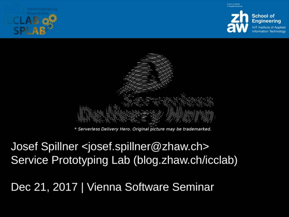





Josef Spillner <josef.spillner@zhaw.ch> Service Prototyping Lab (blog.zhaw.ch/icclab)

Dec 21, 2017 | Vienna Software Seminar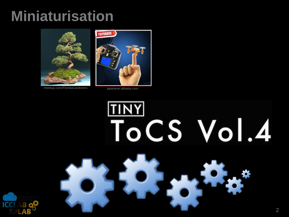## **Miniaturisation**



meetup.com/FloridaGardeners japanese.alibaba.com



# **TINY** ToCS Vol.4

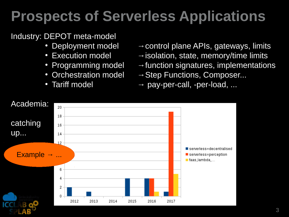## **Prospects of Serverless Applications**

#### Industry: DEPOT meta-model

- 
- 
- 
- 
- 
- Deployment model  $\rightarrow$  control plane APIs, gateways, limits
- Execution model  $\rightarrow$  isolation, state, memory/time limits
	- Programming model  $\rightarrow$  function signatures, implementations
- Orchestration model  $\rightarrow$  Step Functions, Composer...
	- Tariff model  $\rightarrow$  pay-per-call, -per-load, ...

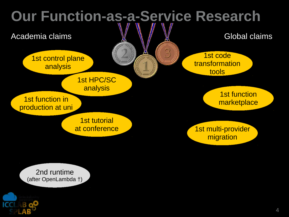

2nd runtime (after OpenLambda †)

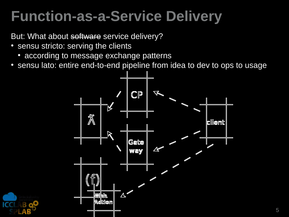## **Function-as-a-Service Delivery**

But: What about software service delivery?

- sensu stricto: serving the clients
	- according to message exchange patterns
- sensu lato: entire end-to-end pipeline from idea to dev to ops to usage



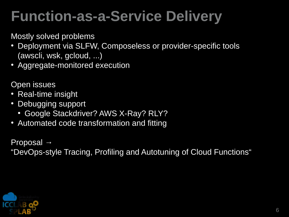## **Punction-as-a-Service Delivery**

Mostly solved problems

- Deployment via SLFW, Composeless or provider-specific tools (awscli, wsk, gcloud, ...)
- Aggregate-monitored execution

Open issues

- Real-time insight
- Debugging support
	- Google Stackdriver? AWS X-Ray? RLY?
- Automated code transformation and fitting

Proposal  $\rightarrow$ "DevOps-style Tracing, Profiling and Autotuning of Cloud Functions"

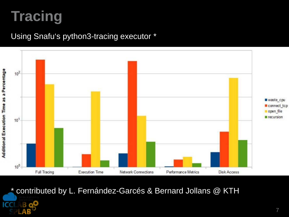## **Tracing**

IC

#### Using Snafu's python3-tracing executor \*



\* contributed by L. Fernández-Garcés & Bernard Jollans @ KTH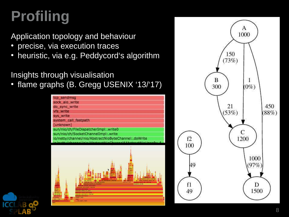# **Profiling**

Application topology and behaviour

- precise, via execution traces
- heuristic, via e.g. Peddycord's algorithm

Insights through visualisation

• flame graphs (B. Gregg USENIX '13/'17)



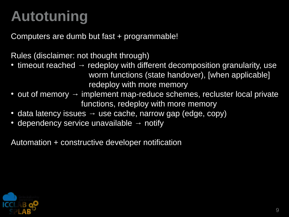# **Autotuning**

Computers are dumb but fast + programmable!

Rules (disclaimer: not thought through)

- timeout reached  $\rightarrow$  redeploy with different decomposition granularity, use worm functions (state handover), [when applicable] redeploy with more memory
- out of memory  $\rightarrow$  implement map-reduce schemes, recluster local private functions, redeploy with more memory
- data latency issues  $\rightarrow$  use cache, narrow gap (edge, copy)
- dependency service unavailable  $\rightarrow$  notify

Automation  $+$  constructive developer notification

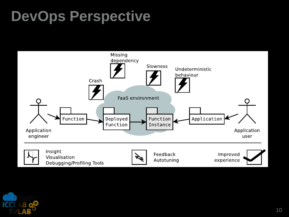## **DevOps Perspective**



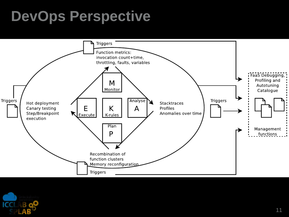## **DevOps Perspective**



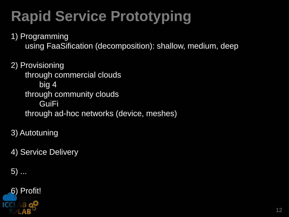# **Rapid Service Prototyping**

1) Programming using FaaSification (decomposition): shallow, medium, deep

2) Provisioning through commercial clouds big 4 through community clouds GuiFi through ad-hoc networks (device, meshes)

3) Autotuning

4) Service Delivery

5) ...